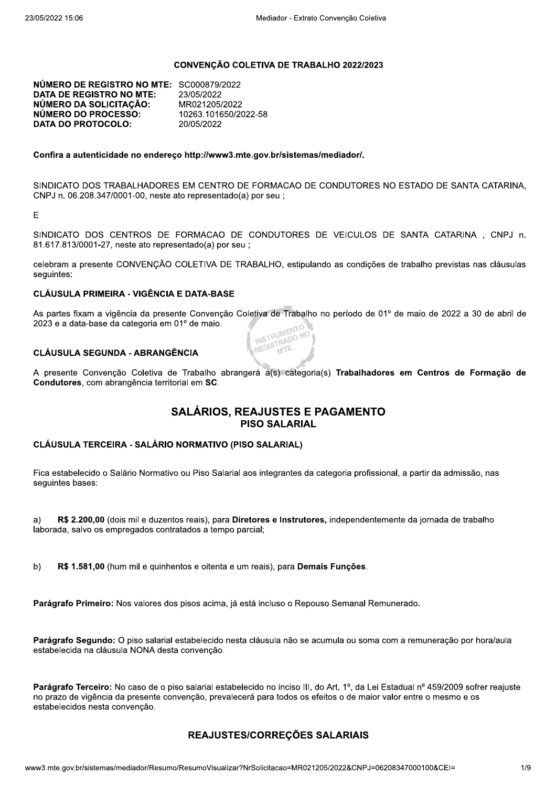#### CONVENÇÃO COLETIVA DE TRABALHO 2022/2023

NÚMERO DE REGISTRO NO MTE: SC000879/2022 **DATA DE REGISTRO NO MTE:** 23/05/2022 NÚMERO DA SOLICITAÇÃO: MR021205/2022 NÚMERO DO PROCESSO: 10263.101650/2022-58 **DATA DO PROTOCOLO:** 20/05/2022

#### Confira a autenticidade no endereco http://www3.mte.gov.br/sistemas/mediador/.

SINDICATO DOS TRABALHADORES EM CENTRO DE FORMACAO DE CONDUTORES NO ESTADO DE SANTA CATARINA, CNPJ n. 06.208.347/0001-00, neste ato representado(a) por seu;

E

SINDICATO DOS CENTROS DE FORMACAO DE CONDUTORES DE VEICULOS DE SANTA CATARINA, CNPJ n. 81.617.813/0001-27, neste ato representado(a) por seu ;

celebram a presente CONVENÇÃO COLETIVA DE TRABALHO, estipulando as condições de trabalho previstas nas cláusulas sequintes:

#### **CLÁUSULA PRIMEIRA - VIGÊNCIA E DATA-BASE**

As partes fixam a vigência da presente Convenção Coletiva de Trabalho no período de 01º de maio de 2022 a 30 de abril de 2023 e a data-base da categoria em 01º de maio. INSTRUMENTO MP IRUMEN NO

#### **CLÁUSULA SEGUNDA - ABRANGÊNCIA**

A presente Convenção Coletiva de Trabalho abrangerá a(s) categoria(s) Trabalhadores em Centros de Formação de Condutores, com abrangência territorial em SC.

#### **SALÁRIOS, REAJUSTES E PAGAMENTO PISO SALARIAL**

#### CLÁUSULA TERCEIRA - SALÁRIO NORMATIVO (PISO SALARIAL)

Fica estabelecido o Salário Normativo ou Piso Salarial aos integrantes da categoria profissional, a partir da admissão, nas seguintes bases:

R\$ 2.200,00 (dois mil e duzentos reais), para Diretores e Instrutores, independentemente da jornada de trabalho a) laborada, salvo os empregados contratados a tempo parcial:

 $b)$ R\$ 1.581,00 (hum mil e quinhentos e oitenta e um reais), para Demais Funções.

Parágrafo Primeiro: Nos valores dos pisos acima, já está incluso o Repouso Semanal Remunerado.

Parágrafo Segundo: O piso salarial estabelecido nesta cláusula não se acumula ou soma com a remuneração por hora/aula estabelecida na cláusula NONA desta convenção.

Parágrafo Terceiro: No caso de o piso salarial estabelecido no inciso III, do Art. 1º, da Lei Estadual nº 459/2009 sofrer reajuste no prazo de vigência da presente convenção, prevalecerá para todos os efeitos o de maior valor entre o mesmo e os estabelecidos nesta convenção.

#### REAJUSTES/CORREÇÕES SALARIAIS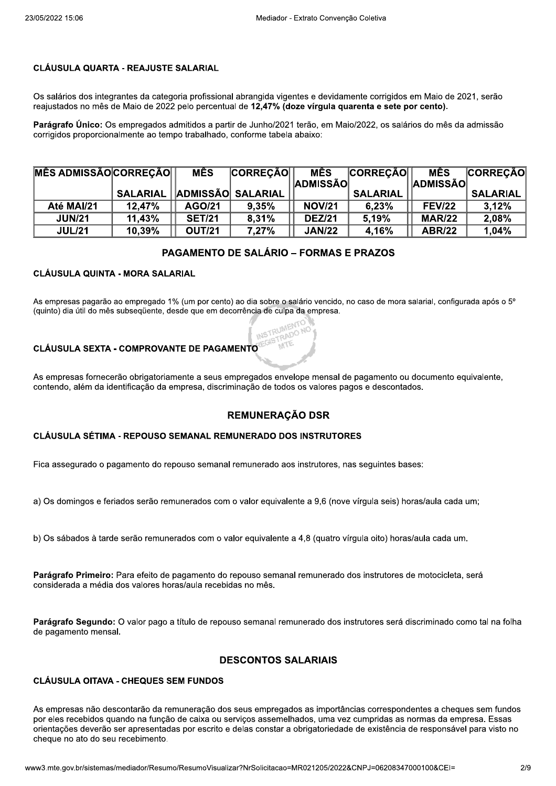#### **CLÁUSULA QUARTA - REAJUSTE SALARIAL**

Os salários dos integrantes da categoria profissional abrangida vigentes e devidamente corrigidos em Maio de 2021, serão reajustados no mês de Maio de 2022 pelo percentual de 12,47% (doze vírgula quarenta e sete por cento).

Parágrafo Único: Os empregados admitidos a partir de Junho/2021 terão, em Maio/2022, os salários do mês da admissão corrigidos proporcionalmente ao tempo trabalhado, conforme tabela abaixo:

| <b>MÊS ADMISSÃO CORREÇÃO</b> |           | <b>MÊS</b>    | <b>CORREÇÃO</b>              | <b>MÊS</b>      | <b>CORREÇÃO</b> | <b>MÊS</b>      | <b>CORREÇÃO</b> |
|------------------------------|-----------|---------------|------------------------------|-----------------|-----------------|-----------------|-----------------|
|                              |           |               |                              | <b>ADMISSÃO</b> |                 | <b>ADMISSÃO</b> |                 |
|                              |           |               | SALARIAL   ADMISSÃO SALARIAL |                 | <b>SALARIAL</b> |                 | <b>SALARIAL</b> |
| Até MAI/21                   | $12.47\%$ | AGO/21        | 9.35%                        | <b>NOV/21</b>   | 6,23%           | <b>FEV/22</b>   | 3.12%           |
| <b>JUN/21</b>                | 11,43%    | <b>SET/21</b> | 8.31%                        | <b>DEZ/21</b>   | 5.19%           | <b>MAR/22</b>   | 2,08%           |
| <b>JUL/21</b>                | 10,39%    | <b>OUT/21</b> | 7.27%                        | <b>JAN/22</b>   | 4.16%           | <b>ABR/22</b>   | 1,04%           |

# **PAGAMENTO DE SALÁRIO - FORMAS E PRAZOS**

## **CLÁUSULA QUINTA - MORA SALARIAL**

As empresas pagarão ao empregado 1% (um por cento) ao dia sobre o salário vencido, no caso de mora salarial, configurada após o 5º (quinto) dia útil do mês subsequente, desde que em decorrência de culpa da empresa.

STRADO

#### **CLÁUSULA SEXTA - COMPROVANTE DE PAGAMENTO**

As empresas fornecerão obrigatoriamente a seus empregados envelope mensal de pagamento ou documento equivalente, contendo, além da identificação da empresa, discriminação de todos os valores pagos e descontados.

#### **REMUNERAÇÃO DSR**

#### **CLÁUSULA SÉTIMA - REPOUSO SEMANAL REMUNERADO DOS INSTRUTORES**

Fica assegurado o pagamento do repouso semanal remunerado aos instrutores, nas seguintes bases:

a) Os domingos e feriados serão remunerados com o valor equivalente a 9,6 (nove vírgula seis) horas/aula cada um;

b) Os sábados à tarde serão remunerados com o valor equivalente a 4,8 (quatro vírgula oito) horas/aula cada um.

Parágrafo Primeiro: Para efeito de pagamento do repouso semanal remunerado dos instrutores de motocicleta, será considerada a média dos valores horas/aula recebidas no mês.

Parágrafo Segundo: O valor pago a título de repouso semanal remunerado dos instrutores será discriminado como tal na folha de pagamento mensal.

#### **DESCONTOS SALARIAIS**

#### **CLÁUSULA OITAVA - CHEQUES SEM FUNDOS**

As empresas não descontarão da remuneração dos seus empregados as importâncias correspondentes a cheques sem fundos por eles recebidos quando na função de caixa ou serviços assemelhados, uma vez cumpridas as normas da empresa. Essas orientações deverão ser apresentadas por escrito e delas constar a obrigatoriedade de existência de responsável para visto no cheque no ato do seu recebimento.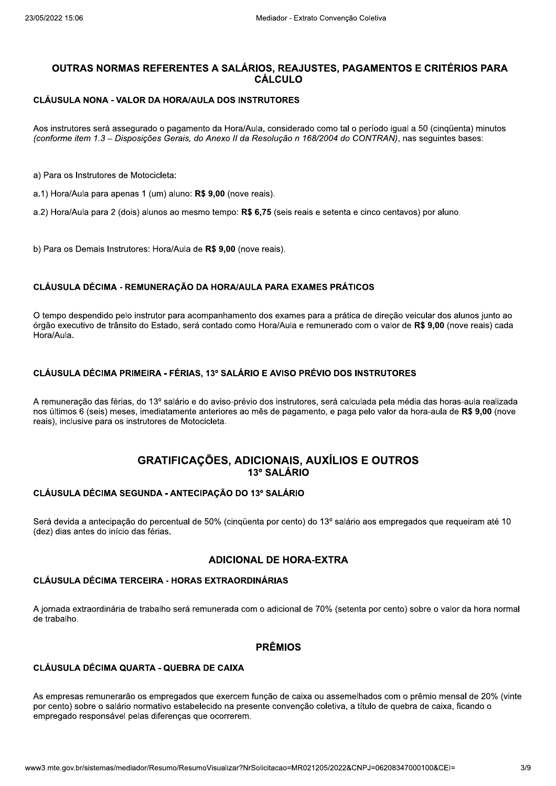# OUTRAS NORMAS REFERENTES A SALÁRIOS. REAJUSTES. PAGAMENTOS E CRITÉRIOS PARA CÁL CULO INTES A SALÁRIOS, REAJUSTES, PA<br>CÁLCULO<br>A/AULA DOS INSTRUTORES<br>amento da Hora/Aula, considerado como tal quis, do Anexo II da Resolução n 168/2004 do quis, do Anexo II da Resolução n 168/2004 do quis.<br>No: R\$ 9,00 (nove rea **ALÁRIOS, REAJUSTES, PAGAMENTO<br>
CÁLCULO<br>
S INSTRUTORES<br>
ora/Aula, considerado como tal o período igu:<br>** *II da Resolução n 168/2004 do CONTRAN)***,<br>
nove reais).<br>
o: <b>R\$ 6,75** (seis reais e setenta e cinco centa **'AGAMENTOS E CRITÉRIOS PARA<br>| o período igual a 50 (cinqüenta) minutos<br>| CONTRAN), nas seguintes bases:<br>|<br>a e cinco centavos) por aluno.**

#### CLÁUSULA NONA - VALOR DA HORA/AULA DOS INSTRUTORES

Aos instrutores sera assegurado o pagamento da Hora/Aula, considerado como tal o período igual a 50 (cinquenta) minutos (conforme item 1.3 – Disposições Gerais, do Anexo II da Resolução n 168/2004 do CONTRAN), nas seguintes bases: ULA NONA - VALOR DA HORA/AULA DOS II<br>
rutores será assegurado o pagamento da Hora<br>
me item 1.3 – Disposições Gerais, do Anexo II d<br>
os Instrutores de Motocicleta:<br>
ra/Aula para apenas 1 (um) aluno: R\$ 9,00 (nov<br>
ra/Aula pa prisiderado como tar o pendão iguar a 50 (cinquente<br>ução *n 168/2004 do CONTRAN)*, nas seguintes bas<br>(seis reais e setenta e cinco centavos) por aluno.<br>is).<br>**RA EXAMES PRÁTICOS** 

a) Para os instrutores de Motocicieta:

a.1) Hora/Aula para apenas 1 (um) aluno: R**\$ 9,00** (nove reals).

a.2) Hora/Aula para 2 (dois) alunos ao mesmo tempo: **R\$ 6,75** (seis reais e setenta e cinco centavos) por aluno.

b) Para os Demais Instrutores: Hora/Aula de **R\$ 9,00** (nove reals).

#### CLÁUSULA DÉCIMA - REMUNERAÇÃO DA HORA/AULA PARA EXAMES PRÁTICOS

O tempo despendido pelo instrutor para acompanhamento dos exames para a pratica de direção veli Instrutores: Hora/Aula de **R\$ 9,00** (nove reais<br> **MA - REMUNERAÇÃO DA HORA/AULA PAI<br>
do pelo instrutor para acompanhamento dos e<br>
trânsito do Estado, será contado como Hora<br>
MA PRIMEIRA - FÉRIAS, 13º SALÁRIO E AN<br>
s férias** eais).<br>PARA EXAMES PRÁTICOS<br>os exames para a prática de direção veicular<br>ora/Aula e remunerado com o valor de R\$ 9,0<br>E AVISO PRÉVIO DOS INSTRUTORES<br>os instrutores. será calculada pela média das b) Para os Demais Instrutores: Hora/Aula de R\$ 9,00 (nove reais).<br>CLÁUSULA DÉCIMA - REMUNERAÇÃO DA HORA/AULA PARA EXAMES PRÁTICOS<br>O tempo despendido pelo instrutor para acompanhamento dos exames para a prática de direção v xecutivo de transito do Estado, sera contado como Hora/Aula e remunerado com o valor de **R\$ 9,00** (hove rea b) Para os Demais Instrutores: H<br> **CLÁUSULA DÉCIMA - REMUNI**<br>
O tempo despendido pelo instrut<br>
órgão executivo de trânsito do E:<br>
Hora/Aula.<br> **CLÁUSULA DÉCIMA PRIMEIR/**<br>
A remuneração das férias, do 13<br>
nos últimos 6 (seis strutores: Hora/Aula de **R\$ 9,00** (nove reais).<br>
N - REMUNERAÇÃO DA HORA/AULA PARA EXAME<br>
pelo instrutor para acompanhamento dos exames para<br>
fansito do Estado, será contado como Hora/Aula e rem<br>
N PRIMEIRA - FÉRIAS, 13º S ais).<br>**PARA EXAMES PRÁTICOS**<br>s exames para a prática de direção veicular d<br>ra/Aula e remunerado com o valor de **R\$ 9,00<br>AVISO PRÉVIO DOS INSTRUTORES<br>s instrutores, será calculada pela média das l<br>de pagamento, e paga pelo** b) Para os Demais Instrutores: Hora/Aula de **R\$ 9,00** (nove reais).<br>CLÁUSULA DÉCIMA - REMUNERAÇÃO DA HORA/AULA PARA EXAMES PRÁTICOS<br>O tempo despendido pelo instrutor para acompanhamento dos exames para a prática de direção Hora/Aula.

#### CLÁUSULA DÉCIMA PRIMEIRA - FÉRIAS, 13º SALÁRIO E AVISO PRÉVIO DOS INSTRUTORES

A remuneração das ferias, do 13º salario e do aviso-previo dos instrutores, sera calculada pela media das horas-aula realizada b Hora/Aula e remunerado com o valor de R\$ 9,0<br>
O E AVISO PRÉVIO DOS INSTRUTORES<br>
D dos instrutores, será calculada pela média das<br>
mês de pagamento, e paga pelo valor da hora-al<br>
CIONAIS, AUXÍLIOS E OUTROS<br>
3º SALÁRIO nos ultimos o (seis) meses, imediatamente anteriores ao mes de pagamento, e paga pelo valor da nora-aula de **R\$ 9,00** (nove reals), inclusive para os instrutores de Motocicieta. CLÁUSULA DÉCIMA PRIMEIR<br>A remuneração das férias, do 1<br>nos últimos 6 (seis) meses, im<br>reais), inclusive para os instruto<br>GR<br>CLÁUSULA DÉCIMA SEGUNI A PRIMEIRA - FÉRIAS, 13° SALÁRIO E AVISO<br>
érias, do 13º salário e do aviso-prévio dos instr<br>
neses, imediatamente anteriores ao mês de pa<br>
os instrutores de Motocicleta.<br> **GRATIFICAÇÕES, ADICIONAI<br>
13º SALÁ**<br>
A SEGUNDA - A

# $\mathbb{R}$ GRATIFICAÇOES, ADICIONAIS, AUXILIOS E OUTROS 13º SALÁRIO **GRATIFICAÇÕES, ADICIONAIS, A<br>
13º SALÁRIO<br>
JNDA - ANTECIPAÇÃO DO 13º SALÁRIO<br>
do percentual de 50% (cinqüenta por cento) d<br>
s férias.<br>
ADICIONAL DE HORA·<br>
EIRA - HORAS EXTRAORDINÁRIAS<br>
trabalho será remunerada com o adici** COM AIS, AUXÍLIOS E<br>
13º SALÁRIO<br>
CIPAÇÃO DO 13º SALÁRIO<br>
de 50% (cinqüenta por cento) do 13º salário a<br>
ADICIONAL DE HORA-EXTRA<br>
SEXTRAORDINÁRIAS<br>
FERINGERES COM O Adicional de 70% (setenta

#### CLÁUSULA DÉCIMA SEGUNDA - ANTECIPAÇÃO DO 13º SALÁRIO

Sera devida a antecipação do percentual de 50% (cinquenta por cento) do 13° salario aos empregados que requeiram até 10 GRATIFIC/<br>CLÁUSULA DÉCIMA SEGUNDA - ANTE<br>Será devida a antecipação do percentual<br>(dez) dias antes do início das férias.<br>CLÁUSULA DÉCIMA TERCEIRA - HOR GRATIFICAÇÕES, AD<br>A DÉCIMA SEGUNDA - ANTECIPAÇÃO DO<br>a a a antecipação do percentual de 50% (cinqüentes do início das férias.<br>ADICION<br>A DÉCIMA TERCEIRA - HORAS EXTRAORI (dez) dias antes GRATIFICAÇÕES, ADICIONAIS, AUXÍLIOS<br>
13º SALÁRIO<br>
13º SALÁRIO<br>
5Grá devida a antecipação do percentual de 50% (cinqüenta por cento) do 13º salário<br>
(dez) dias antes do início das férias.<br>
ADICIONAL DE HORA-EXTRA<br>
CLÁUSULA

xtraordinaria de trabalho sera remunerada com o adicional de 70% (setenta por cento) sobre o valor da hora normal France Manuel DE HORA-EXTRA<br>
24 - HORAS EXTRAORDINÁRIAS<br>
24 - HORAS EXTRAORDINÁRIAS<br>
24 - QUEBRA DE CAIXA<br>
24 - QUEBRA DE CAIXA<br>
25 - QUEBRA DE CAIXA RA-EXTRA<br>
al de 70% (setenta por cento) sobre o valor da<br>
S<br>
aixa ou assemelhados com o prêmio mensal de trapaino.

#### **PRÊMIOS**

#### CLÁUSULA DÉCIMA QUARTA - QUEBRA DE CAIXA

os que exercem iunção de caixa ou assem<br>tbelecido na presente convenção coletiva,<br>s que ocorrerem.<br>sumoVisualizar?NrSolicitacao=MR021205/20228 As empresas remunerarão os empregados que exercem função de caixa ou assemeinados com o premio mensal de 20% (vinte **PRÊMIOS**<br> **TA - QUEBRA DE CAIXA**<br>
empregados que exercem função de caixa o<br>
mativo estabelecido na presente convenção de siferenças que ocorrerem.<br>
//Resumo/Resumo<sup>V</sup>isualizar?NrSolicitacao=MR0212 PRÊMIOS<br>
DE CAIXA<br>
ue exercem função de caixa ou assemelhado<br>
cido na presente convenção coletiva, a título<br>
9 ocorrerem.<br>
Visualizar?NrSolicitacao=MR021205/2022&CNPJ=0 S<br>aixa ou assemelhados com o prêmio mensal (<br>nção coletiva, a título de quebra de caixa, fica<br>R021205/2022&CNPJ=06208347000100&CEI= **PRÊMIOS**<br>CLÁUSULA DÉCIMA QUARTA - QUEBRA DE CAIXA<br>As empresas remunerarão os empregados que exercem função de caixa ou assemelhados com o prêmio mensal de 20% (vinte<br>por cento) sobre o salário normativo estabelecido na pr nto) sobre o salario normativo estabelecido na presente convenção coletiva, a título de quebra de  $\epsilon$ **PRÊMIC**<br>
QUARTA - QUEBRA DE CAIXA<br>
arão os empregados que exercem função de<br>
irio normativo estabelecido na presente conve<br>
el pelas diferenças que ocorrerem.<br>
andiador/Resumo/ResumoVisualizar?NrSolicitacao= **PRÊMIOS<br>
SRA DE CAIXA**<br>
dos que exercem função de caixa ou assemel<br>
abelecido na presente convenção coletiva, a t<br>
s que ocorrerem.<br>
<br>
ssumoVisualizar?NrSolicitacao=MR021205/2022&CI **PRÊMIOS<br>
IXA**<br>
rcem função de caixa ou assemelhados com<br>
a presente convenção coletiva, a título de que<br>
erem.<br>
zar?NrSolicitacao=MR021205/2022&CNPJ=0620834 PRÊMIOS<br>CLÁUSULA DÉCIMA QUARTA - QUEBRA DE CAIXA<br>As empresas remunerarão os empregados que exercem função de caixa ou assemelhados com o prêmio mensal de 20% (vinte<br>por cento) sobre o salário normativo estabelecido na pres mpregado responsavel pelas diferenças que ocorrerem. **PRÊMIOS**<br>JARTA - QUEBRA DE CAIXA<br>io os empregados que exercem função de ca<br>p normativo estabelecido na presente conven<br>pelas diferenças que ocorrerem.<br>liador/Resumo/Resumo<sup>V</sup>isualizar?NrSolicitacao=MF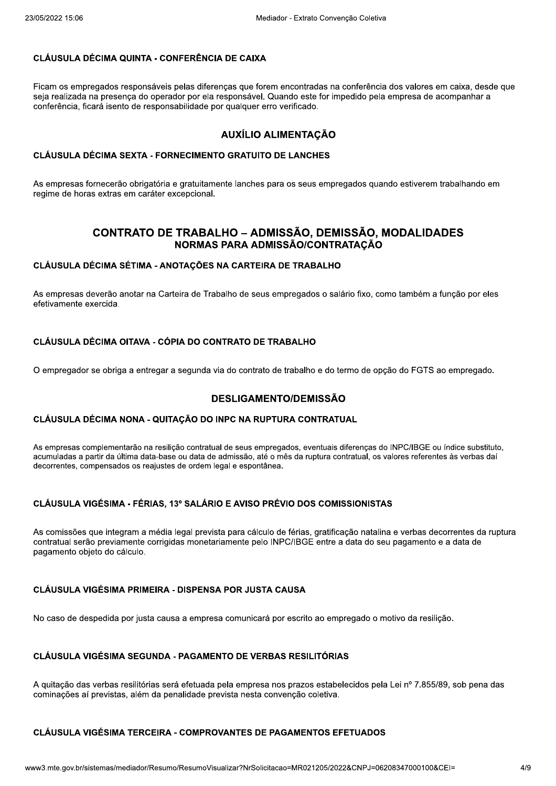Media<br>
23/05/2022 15:06<br>
CLÁUSULA DÉCIMA QUINTA - CONFERÊNCIA DE CAIXA<br>
Ficam os empregados responsáveis pelas diferenças que foren<br>
seja realizada na presença do operador por ela responsável. Q<br>
conferência, ficará isento mpregados responsaveis pelas diferenças que forem encontradas na conferencia dos valores em caixa, desde que Mediador - Extrato Convenção Coletiva<br> **NCIA DE CAIXA<br>
ferenças que forem encontradas na conferência dos valore<br>
ela responsável. Quando este for impedido pela empresa d<br>
e por qualquer erro verificado.<br>
<b>AUXÍLIO ALIMENTAÇ** - Extrato Convenção Coletiva<br>contradas na conferência dos valores em cai:<br>do este for impedido pela empresa de acomp<br>rificado.<br>**ENTAÇÃO**<br>LANCHES ioletiva<br>rência dos valores em caixa, desde que<br>pela empresa de acompanhar a<br>companhar a  $\mathop{\rm s}$ eja realizada na presença do operador por ela responsavel. Quando este for impedido pela empresa de a Mediador - Extrato Convenção Coletiva<br>
CLÁUSULA DÉCIMA QUINTA - CONFERÊNCIA DE CAIXA<br>
Ficam os empregados responsáveis pelas diferenças que forem encontradas na conferência dos valores em caixa, desde que<br>
seja realizada n CLÁUSULA DÉCIMA QUINTA - CO<br>Ficam os empregados responsáveis<br>seja realizada na presença do opera<br>conferência, ficará isento de respons<br>CLÁUSULA DÉCIMA SEXTA - FOR<br>As empresas fornecerão obrigatória<br>regime de boras extras e nto de responsabilidade por qualquer erro veri CLÁUSULA DÉCIMA QUINTA - CONFERÊNCIA DE CAIXA<br>Ficam os empregados responsáveis pelas diferenças que forem encontradas na conferência<br>seja realizada na presença do operador por ela responsável. Quando este for impedido pela

mpresas fornecerao obrigatoria e gratuitamente ianches para os seus empregados quando estiverem trabainando em conferência, ficará isento de responsabilio<br>CLÁUSULA DÉCIMA SEXTA - FORNEC<br>As empresas fornecerão obrigatória e gra<br>regime de horas extras em caráter excepe<br>CONTRATO DE TR.<br>NOI<br>CLÁUSULA DÉCIMA SÉTIMA - ANOTA regime de noras extras em carater ex A<br>
USULA DÉCIMA SEXTA - FORNECIMENTO<br>
mpresas fornecerão obrigatória e gratuitamen<br>
ne de horas extras em caráter excepcional.<br>
CONTRATO DE TRABALI<br>
NORMAS F<br>
USULA DÉCIMA SÉTIMA - ANOTAÇÕES NA

# MONTRIA CONSABILIDA ANTIFICADES ANTIFICADES ANTIFICADE CONNECIMENTO GRATUITO DE LANCHES<br>
Tria e gratuitamente lanches para os seus empres antificade.<br>
Tria e gratuitamente lanches para os seus empres antificades de Triangl AUXÍLIO<br>
ÉCIMA SEXTA - FORNECIMENTO GRATUIT<br>
DITECTE DI CONTINENTO DE TRABALHO<br>
SEXTAS EM CATALES EN ACTES<br>
CONTRATO DE TRABALHO — AL<br>
NORMAS PARA AL<br>
ÉCIMA SÉTIMA - ANOTAÇÕES NA CARTEI AUXÍLIO ALIM<br>MA SEXTA - FORNECIMENTO GRATUITO DE<br>ecerão obrigatória e gratuitamente lanches para «<br>xtras em caráter excepcional.<br>DNTRATO DE TRABALHO — ADMISS<br>MA SÉTIMA - ANOTAÇÕES NA CARTEIRA DE CONTRATO DE TRABALHO - ADMISSÃO, DEMISSÃO, MODALIDADES NORMAS PARA ADMISSÃO/CONTRATAÇÃO SÃO, DEMISSÃO, MODALIDADES<br>ÃO/CONTRATAÇÃO<br>: TRABALHO<br>regados o salário fixo, como também a função por ele<br>BALHO<br>abalho e do termo de opção do FGTS ao empregado

#### CLÁUSULA DÉCIMA SÉTIMA - ANOTAÇÕES NA CARTEIRA DE TRABALHO

As empresas deverao anotar na Carteira de Trabalho de seus empregados o salario fixo, como tambem a função por eles efetivamente exer CONTRATO DE TRABALHO - ADMISSÃO, D<br>
NORMAS PARA ADMISSÃO/COM<br>
CLÁUSULA DÉCIMA SÉTIMA - ANOTAÇÕES NA CARTEIRA DE TRABAI<br>
As empresas deverão anotar na Carteira de Trabalho de seus empregados defetivamente exercida.<br>
CLÁUSUL a Carteira de Trabalho de seus empregados de Carteira de Trabalho de seus empregados de Cópia Do Contrato DE TRABALHO<br>Pegar a segunda via do contrato de trabalho e<br>DESLIGAMENTO/DEMIS<br>QUITAÇÃO DO INPC NA RUPTURA CONTR<br>resil

mpregador se obriga a entregar a segunda via do contrato de trabalho e do termo de opção do FGTS ao empregado.

#### DESLIGAMENTO/DEMISSÃO

#### CLÁUSULA DÉCIMA NONA - QUITAÇÃO DO INPC NA RUPTURA CONTRATUAL

As empresas complementarao na resilição contratual de seus empregados, eventuais diferenças do INPC/IE C Enpregador se obriga a entregador<br>
CLÁUSULA DÉCIMA NONA - QU<br>
As empresas complementarão na re<br>
acumuladas a partir da última data-b<br>
decorrentes, compensados os reajus<br>
CLÁUSULA VIGÉSIMA - FÉRIAS DESLIGAME<br>DESLIGAME<br>MA NONA - QUITAÇÃO DO INPC NA RU<br>ementarão na resilição contratual de seus empreharão na resilição contratual de seus empreharão na resilição contratual de seus emprehabases ou data de admissão, até<br>sad py<sub>s</sub>ao do FGTS ao empregado.<br>do INPC/IBGE ou índice substituto,<br>s valores referentes às verbas daí<br>**TAS** DESLIGAMENTO/DEMISSÃO<br>CLÁUSULA DÉCIMA NONA - QUITAÇÃO DO INPC NA RUPTURA CONTRATUAL<br>As empresas complementarão na resilição contratual de seus empregados, eventuais diferenças do INPC/IBGE ou índice substituto,<br>acumuladas ou data de admissão, até o mes da ruptura contratual, os valores referentes as verbas dal **DESLIGAMENTO/DEMISSÃO<br>
INPC NA RUPTURA CONTRATUAL<br>
al de seus empregados, eventuais diferenças do INPC/I<br>
admissão, até o mês da ruptura contratual, os valores i<br>
egal e espontânea.<br>
O E AVISO PRÉVIO DOS COMISSIONISTAS<br>
s** decorrentes, compensados os reajustes de ordem legal e espontanea. CLÁUSULA DÉCIMA M<br>As empresas complemer<br>acumuladas a partir da ú<br>decorrentes, compensad<br>CLÁUSULA VIGÉSIMA<br>As comissões que integ<br>contratual serão previai CLÁUSULA DÉCIMA NONA - Q<br>As empresas complementarão na re<br>acumuladas a partir da última data-<br>decorrentes, compensados os reaju<br>CLÁUSULA VIGÉSIMA - FÉRIA:<br>As comissões que integram a mé<br>contratual serão previamente cor

1234 acumuladas a partir da última data-base ou data de admissão, até o mês da ruptura contratual, os valores<br>decorrentes, compensados os reajustes de ordem legal e espontânea.<br>CLÁUSULA VIGÉSIMA - FÉRIAS, 13° SALÁRIO E AVI s que integram a media legal prevista para calculo de terias, gratificação natalina e verbas decorrentes Saise ou data de admissão, até o mês da ruptura corses de ordem legal e espontânea.<br>
S, 13° SALÁRIO E AVISO PRÉVIO DOS COMIS<br>
dia legal prevista para cálculo de férias, gratifica<br>
dia legal prevista para cálculo de férias, scriptogrados, o vernado ancienção ao Francesa.<br>
2, até o mês da ruptura contratual, os valores referiontânea.<br> **SO PRÉVIO DOS COMISSIONISTAS**<br>
Cálculo de férias, gratificação natalina e verba<br>
pelo INPC/IBGE entre a data ronças do minicidade da maiso cabonada,<br>atual, os valores referentes às verbas daí<br>**IONISTAS**<br>io natalina e verbas decorrentes da ruptura<br>ata do seu pagamento e a data de<br>ado o motivo da resilição. decorrentes, compensados os reajustes de ordem legal e espontânea.<br>
CLÁUSULA VIGÉSIMA - FÉRIAS, 13° SALÁRIO E AVISO PRÉVIO DOS COMISSIONISTAS<br>
As comissões que integram a média legal prevista para cálculo de férias, gratif rao previamente corrigidas monetariamente pelo INPC/IBGE entre a data do seu pagamento e a data de Salar paral da dialectura de de la dialectura en la dialectura en la dialectura en la dialectura en la dialectura en la dialectura en la dialectura en la seña previamente corrigidas monetariamento objeto do cálculo.<br>Sul di pagamento opjet CLÁUSULA VIGÉSIMA - FÉRIAS, 13° SALÁRIO E AVISO PRÉVIO DOS<br>As comissões que integram a média legal prevista para cálculo de férias,<br>contratual serão previamente corrigidas monetariamente pelo INPC/IBGE<br>pagamento objeto do Serão previamente corrigidas monetariamente<br>
do objeto do cálculo.<br>
LA VIGÉSIMA PRIMEIRA - DISPENSA POR<br>
le despedida por justa causa a empresa com<br>
LA VIGÉSIMA SEGUNDA - PAGAMENTO D<br>
Do das verbas resilitórias será efetua re corrigidas monetariamente pelo INPC/IBGE entre and<br>o.<br>IMEIRA - DISPENSA POR JUSTA CAUSA<br>usta causa a empresa comunicará por escrito ao em<br>GUNDA - PAGAMENTO DE VERBAS RESILITÓRIA<br>tórias será efetuada pela empresa nos pra diariamente pelo INPC/IBGE entre a data do sentiariamente pelo INPC/IBGE entre a data do sentiariamente pelo INPC/IBGE entre a data do sentiariamente pelo INPC/IBGE entre a data do sentiariamente esta convenciaria pelo ent

despedida por justa causa a empresa comunicara por escrito ao empregado o motivo da resilição.

#### CLÁUSULA VIGÉSIMA SEGUNDA - PAGAMENTO DE VERBAS RESILITÓRIAS

A quitação das verbas resilitorias sera efetuada pela empresa nos prazos estabelecidos pela Lei nº 7,855/89, sob pen rá por escrito ao empregado o motivo da resil<br>**RBAS RESILITÓRIAS<br>sa nos prazos estabelecidos pela Lei nº 7.855<br>convenção coletiva.<br>E PAGAMENTOS EFETUADOS**<br>icitacao=MR021205/2022&CNPJ=06208347000100 No caso de despedida por justa causa a empresa comunicará por escrito ao empregado o motivo da resilição.<br>
CLÁUSULA VIGÉSIMA SEGUNDA - PAGAMENTO DE VERBAS RESILITÓRIAS<br>
A quitação das verbas resilitórias será efetuada pela s al previstas, alem da penalidade prevista nesta convenção coletiva. A a empresa comunicará por escrito ao empre<br> **PAGAMENTO DE VERBAS RESILITÓRIAS**<br>
Lefetuada pela empresa nos prazos estabelea<br>
alidade prevista nesta convenção coletiva.<br> **COMPROVANTES DE PAGAMENTOS EFE<br>
TRESUMOVISUALES DE** n comunicará por escrito ao empregado o mot<br>
TO DE VERBAS RESILITÓRIAS<br>
ela empresa nos prazos estabelecidos pela L<br>
vista nesta convenção coletiva.<br>
MANTES DE PAGAMENTOS EFETUADOS<br>
alizar?NrSolicitacao=MR021205/2022&CNPJ=

# adde prevista hesta convenção coletiva.<br>DMPROVANTES DE PAGAMENTOS EFE<br>sumoVisualizar?NrSolicitacao=MR021205/20228 CLÁUSULA VIGÉSIMA TERCEIRA - COMPROVANTES DE PAGAMENTOS EFETUADOS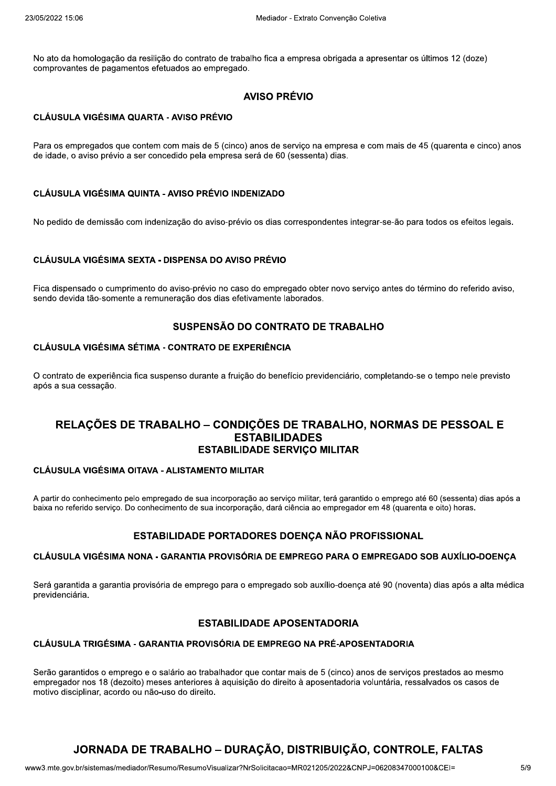No ato da homologação da resilição do contrato de trabalho fica a empresa obrigada a apresentar os últimos 12 (doze) comprovantes de pagamentos efetuados ao empregado.

# **AVISO PRÉVIO**

#### CLÁUSULA VIGÉSIMA QUARTA - AVISO PRÉVIO

Para os empregados que contem com mais de 5 (cinco) anos de serviço na empresa e com mais de 45 (quarenta e cinco) anos de idade, o aviso prévio a ser concedido pela empresa será de 60 (sessenta) dias.

#### **CLÁUSULA VIGÉSIMA QUINTA - AVISO PRÉVIO INDENIZADO**

No pedido de demissão com indenização do aviso-prévio os dias correspondentes integrar-se-ão para todos os efeitos legais.

#### CLÁUSULA VIGÉSIMA SEXTA - DISPENSA DO AVISO PRÉVIO

Fica dispensado o cumprimento do aviso-prévio no caso do empregado obter novo serviço antes do término do referido aviso, sendo devida tão-somente a remuneração dos dias efetivamente laborados.

## SUSPENSÃO DO CONTRATO DE TRABALHO

#### **CLÁUSULA VIGÉSIMA SÉTIMA - CONTRATO DE EXPERIÊNCIA**

O contrato de experiência fica suspenso durante a fruição do benefício previdenciário, completando-se o tempo nele previsto após a sua cessação.

# RELACÕES DE TRABALHO - CONDICÕES DE TRABALHO, NORMAS DE PESSOAL E **ESTABILIDADES ESTABILIDADE SERVICO MILITAR**

#### CLÁUSULA VIGÉSIMA OITAVA - ALISTAMENTO MILITAR

A partir do conhecimento pelo empregado de sua incorporação ao serviço militar, terá garantido o emprego até 60 (sessenta) dias após a baixa no referido serviço. Do conhecimento de sua incorporação, dará ciência ao empregador em 48 (quarenta e oito) horas.

#### ESTABILIDADE PORTADORES DOENÇA NÃO PROFISSIONAL

#### CLÁUSULA VIGÉSIMA NONA - GARANTIA PROVISÓRIA DE EMPREGO PARA O EMPREGADO SOB AUXÍLIO-DOENÇA

Será garantida a garantia provisória de emprego para o empregado sob auxílio-doença até 90 (noventa) dias após a alta médica previdenciária.

#### **ESTABILIDADE APOSENTADORIA**

#### CLÁUSULA TRIGÉSIMA - GARANTIA PROVISÓRIA DE EMPREGO NA PRÉ-APOSENTADORIA

Serão garantidos o emprego e o salário ao trabalhador que contar mais de 5 (cinco) anos de serviços prestados ao mesmo empregador nos 18 (dezoito) meses anteriores à aquisição do direito à aposentadoria voluntária, ressalvados os casos de motivo disciplinar, acordo ou não-uso do direito.

# JORNADA DE TRABALHO – DURAÇÃO, DISTRIBUIÇÃO, CONTROLE, FALTAS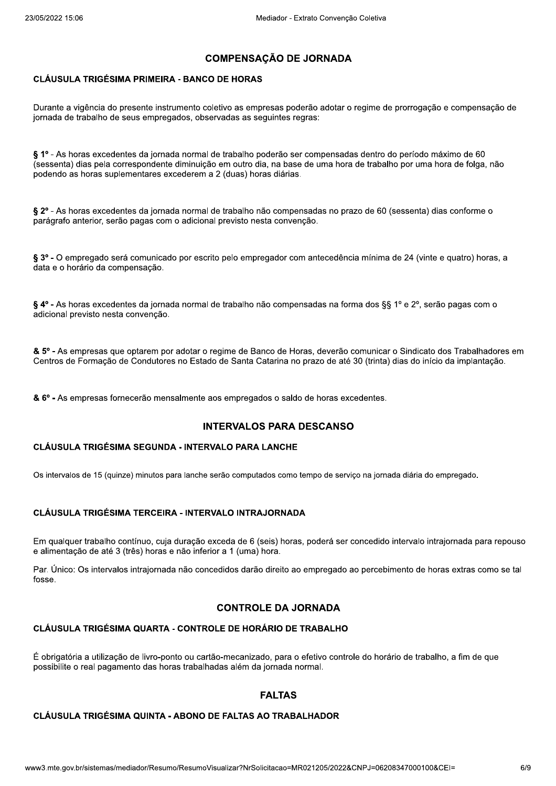# **COMPENSACÃO DE JORNADA**

#### **CLÁUSULA TRIGÉSIMA PRIMEIRA - BANCO DE HORAS**

Durante a vigência do presente instrumento coletivo as empresas poderão adotar o regime de prorrogação e compensação de jornada de trabalho de seus empregados, observadas as seguintes regras:

§ 1º - As horas excedentes da jornada normal de trabalho poderão ser compensadas dentro do período máximo de 60 (sessenta) dias pela correspondente diminuição em outro dia, na base de uma hora de trabalho por uma hora de folga, não podendo as horas suplementares excederem a 2 (duas) horas diárias.

§ 2º - As horas excedentes da jornada normal de trabalho não compensadas no prazo de 60 (sessenta) dias conforme o parágrafo anterior, serão pagas com o adicional previsto nesta convenção.

§ 3º - O empregado será comunicado por escrito pelo empregador com antecedência mínima de 24 (vinte e quatro) horas, a data e o horário da compensação.

§ 4° - As horas excedentes da jornada normal de trabalho não compensadas na forma dos §§ 1° e 2°, serão pagas com o adicional previsto nesta convenção.

& 5° - As empresas que optarem por adotar o regime de Banco de Horas, deverão comunicar o Sindicato dos Trabalhadores em Centros de Formação de Condutores no Estado de Santa Catarina no prazo de até 30 (trinta) dias do início da implantação.

& 6° - As empresas fornecerão mensalmente aos empregados o saldo de horas excedentes.

#### **INTERVALOS PARA DESCANSO**

#### CLÁUSULA TRIGÉSIMA SEGUNDA - INTERVALO PARA LANCHE

Os intervalos de 15 (quinze) minutos para lanche serão computados como tempo de serviço na jornada diária do empregado.

#### CLÁUSULA TRIGÉSIMA TERCEIRA - INTERVALO INTRAJORNADA

Em qualquer trabalho contínuo, cuja duração exceda de 6 (seis) horas, poderá ser concedido intervalo intrajornada para repouso e alimentação de até 3 (três) horas e não inferior a 1 (uma) hora.

Par. Único: Os intervalos intrajornada não concedidos darão direito ao empregado ao percebimento de horas extras como se tal fosse

#### **CONTROLE DA JORNADA**

#### CLÁUSULA TRIGÉSIMA QUARTA - CONTROLE DE HORÁRIO DE TRABALHO

É obrigatória a utilização de livro-ponto ou cartão-mecanizado, para o efetivo controle do horário de trabalho, a fim de que possibilite o real pagamento das horas trabalhadas além da jornada normal.

#### **FALTAS**

#### **CLÁUSULA TRIGÉSIMA QUINTA - ABONO DE FALTAS AO TRABALHADOR**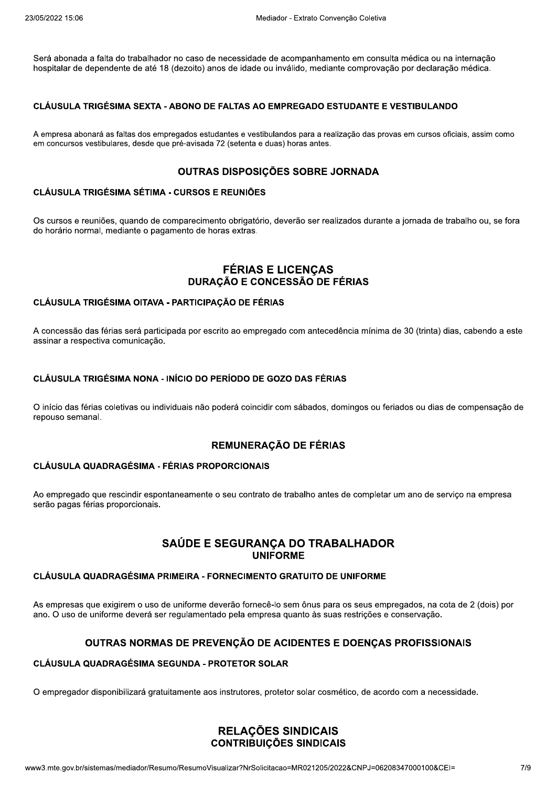Será abonada a falta do trabalhador no caso de necessidade de acompanhamento em consulta médica ou na internação hospitalar de dependente de até 18 (dezoito) anos de idade ou inválido, mediante comprovação por declaração médica.

#### CLÁUSULA TRIGÉSIMA SEXTA - ABONO DE FALTAS AO EMPREGADO ESTUDANTE E VESTIBULANDO

A empresa abonará as faltas dos empregados estudantes e vestibulandos para a realização das provas em cursos oficiais, assim como em concursos vestibulares, desde que pré-avisada 72 (setenta e duas) horas antes.

## OUTRAS DISPOSICÕES SOBRE JORNADA

#### CLÁUSULA TRIGÉSIMA SÉTIMA - CURSOS E REUNIÕES

Os cursos e reuniões, quando de comparecimento obrigatório, deverão ser realizados durante a iornada de trabalho ou, se fora do horário normal, mediante o pagamento de horas extras.

#### **FÉRIAS E LICENÇAS DURAÇÃO E CONCESSÃO DE FÉRIAS**

#### CLÁUSULA TRIGÉSIMA OITAVA - PARTICIPACÃO DE FÉRIAS

A concessão das férias será participada por escrito ao empregado com antecedência mínima de 30 (trinta) dias, cabendo a este assinar a respectiva comunicação.

#### CLÁUSULA TRIGÉSIMA NONA - INÍCIO DO PERÍODO DE GOZO DAS FÉRIAS

O início das férias coletivas ou individuais não poderá coincidir com sábados, domingos ou feriados ou dias de compensação de repouso semanal.

#### **REMUNERAÇÃO DE FÉRIAS**

#### **CLÁUSULA QUADRAGÉSIMA - FÉRIAS PROPORCIONAIS**

Ao empregado que rescindir espontaneamente o seu contrato de trabalho antes de completar um ano de serviço na empresa serão pagas férias proporcionais.

# SAÚDE E SEGURANÇA DO TRABALHADOR **UNIFORME**

#### CLÁUSULA QUADRAGÉSIMA PRIMEIRA - FORNECIMENTO GRATUITO DE UNIFORME

As empresas que exigirem o uso de uniforme deverão fornecê-lo sem ônus para os seus empregados, na cota de 2 (dois) por ano. O uso de uniforme deverá ser regulamentado pela empresa quanto às suas restrições e conservação.

#### OUTRAS NORMAS DE PREVENÇÃO DE ACIDENTES E DOENÇAS PROFISSIONAIS

#### **CLÁUSULA QUADRAGÉSIMA SEGUNDA - PROTETOR SOLAR**

O empregador disponibilizará gratuitamente aos instrutores, protetor solar cosmético, de acordo com a necessidade.

#### RELAÇÕES SINDICAIS **CONTRIBUIÇÕES SINDICAIS**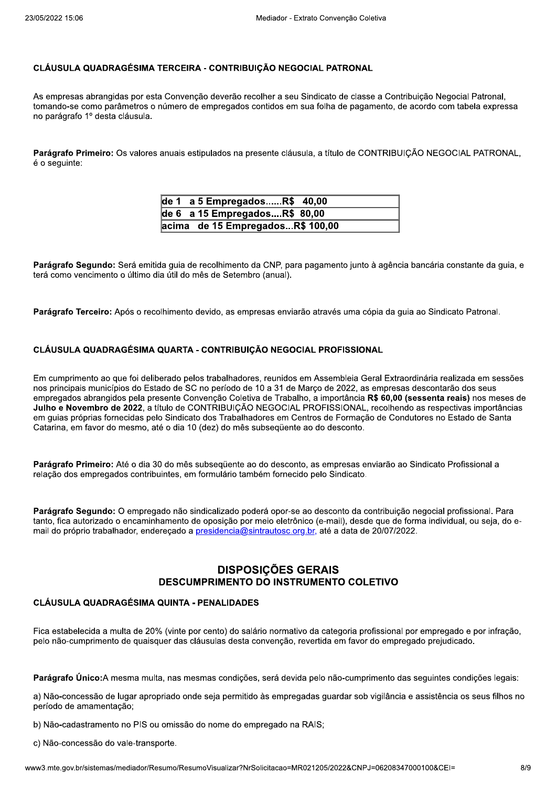#### CLÁUSULA QUADRAGÉSIMA TERCEIRA - CONTRIBUICÃO NEGOCIAL PATRONAL

As empresas abrangidas por esta Convenção deverão recolher a seu Sindicato de classe a Contribuição Negocial Patronal, tomando-se como parâmetros o número de empregados contidos em sua folha de pagamento, de acordo com tabela expressa no parágrafo 1º desta cláusula.

Parágrafo Primeiro: Os valores anuais estipulados na presente cláusula, a título de CONTRIBUICÃO NEGOCIAL PATRONAL, é o seguinte:

| de 1 a 5 EmpregadosR\$ 40,00     |
|----------------------------------|
| de 6 $a$ 15 Empregados $R$80,00$ |
| acima de 15 EmpregadosR\$ 100,00 |

Parágrafo Segundo: Será emitida quia de recolhimento da CNP, para pagamento junto à agência bancária constante da quia, e terá como vencimento o último dia útil do mês de Setembro (anual).

Parágrafo Terceiro: Após o recolhimento devido, as empresas enviarão através uma cópia da quia ao Sindicato Patronal.

#### CLÁUSULA QUADRAGÉSIMA QUARTA - CONTRIBUIÇÃO NEGOCIAL PROFISSIONAL

Em cumprimento ao que foi deliberado pelos trabalhadores, reunidos em Assembleia Geral Extraordinária realizada em sessões nos principais municípios do Estado de SC no período de 10 a 31 de Marco de 2022, as empresas descontarão dos seus empregados abrangidos pela presente Convenção Coletiva de Trabalho, a importância R\$ 60,00 (sessenta reais) nos meses de Julho e Novembro de 2022, a título de CONTRIBUIÇÃO NEGOCIAL PROFISSIONAL, recolhendo as respectivas importâncias em quias próprias fornecidas pelo Sindicato dos Trabalhadores em Centros de Formação de Condutores no Estado de Santa Catarina, em favor do mesmo, até o dia 10 (dez) do mês subsequente ao do desconto.

Parágrafo Primeiro: Até o dia 30 do mês subseqüente ao do desconto, as empresas enviarão ao Sindicato Profissional a relação dos empregados contribuintes, em formulário também fornecido pelo Sindicato.

Parágrafo Segundo: O empregado não sindicalizado poderá opor-se ao desconto da contribuição negocial profissional. Para tanto. fica autorizado o encaminhamento de oposição por meio eletrônico (e-mail), desde que de forma individual, ou seja, do email do próprio trabalhador, endereçado a presidencia@sintrautosc.org.br, até a data de 20/07/2022.

## **DISPOSIÇÕES GERAIS DESCUMPRIMENTO DO INSTRUMENTO COLETIVO**

#### **CLÁUSULA QUADRAGÉSIMA QUINTA - PENALIDADES**

Fica estabelecida a multa de 20% (vinte por cento) do salário normativo da categoria profissional por empregado e por infração, pelo não-cumprimento de quaisquer das cláusulas desta convenção, revertida em favor do empregado prejudicado.

Parágrafo Único: A mesma multa, nas mesmas condições, será devida pelo não-cumprimento das seguintes condições legais:

a) Não-concessão de lugar apropriado onde seja permitido às empregadas guardar sob vigilância e assistência os seus filhos no período de amamentação;

b) Não-cadastramento no PIS ou omissão do nome do empregado na RAIS;

c) Não-concessão do vale-transporte.